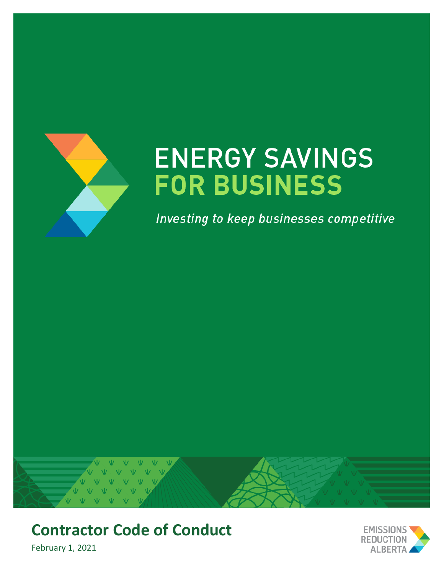

# **ENERGY SAVINGS FOR BUSINESS**

Investing to keep businesses competitive



## **Contractor Code of Conduct**

February 1, 2021

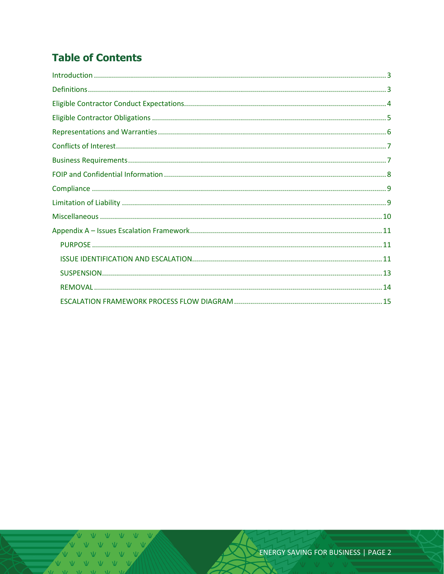### **Table of Contents**

V V V V V  $\overline{M}$   $\overline{M}$   $\overline{M}$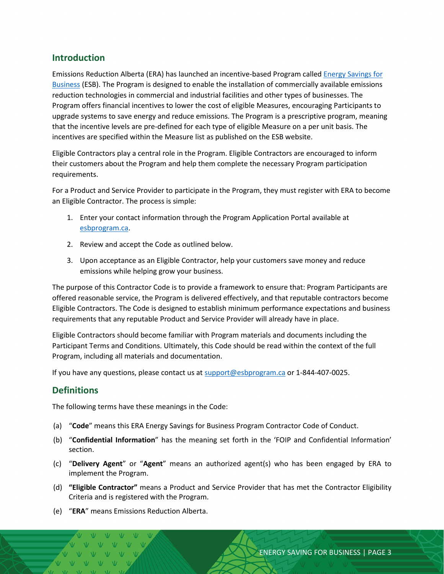#### <span id="page-2-0"></span>**Introduction**

Emissions Reduction Alberta (ERA) has launched an incentive-based Program called [Energy Savings for](https://eralberta.ca/esb)  [Business](https://eralberta.ca/esb) (ESB). The Program is designed to enable the installation of commercially available emissions reduction technologies in commercial and industrial facilities and other types of businesses. The Program offers financial incentives to lower the cost of eligible Measures, encouraging Participants to upgrade systems to save energy and reduce emissions. The Program is a prescriptive program, meaning that the incentive levels are pre-defined for each type of eligible Measure on a per unit basis. The incentives are specified within the Measure list as published on the ESB website.

Eligible Contractors play a central role in the Program. Eligible Contractors are encouraged to inform their customers about the Program and help them complete the necessary Program participation requirements.

For a Product and Service Provider to participate in the Program, they must register with ERA to become an Eligible Contractor. The process is simple:

- 1. Enter your contact information through the Program Application Portal available at [esbprogram.ca.](https://esbprogram.ca/)
- 2. Review and accept the Code as outlined below.
- 3. Upon acceptance as an Eligible Contractor, help your customers save money and reduce emissions while helping grow your business.

The purpose of this Contractor Code is to provide a framework to ensure that: Program Participants are offered reasonable service, the Program is delivered effectively, and that reputable contractors become Eligible Contractors. The Code is designed to establish minimum performance expectations and business requirements that any reputable Product and Service Provider will already have in place.

Eligible Contractors should become familiar with Program materials and documents including the Participant Terms and Conditions. Ultimately, this Code should be read within the context of the full Program, including all materials and documentation.

If you have any questions, please contact us at [support@esbprogram.ca](mailto:support@esbprogram.ca) or 1-844-407-0025.

#### <span id="page-2-1"></span>**Definitions**

The following terms have these meanings in the Code:

- (a) "**Code**" means this ERA Energy Savings for Business Program Contractor Code of Conduct.
- (b) "**Confidential Information**" has the meaning set forth in the 'FOIP and Confidential Information' section.
- (c) "**Delivery Agent**" or "**Agent**" means an authorized agent(s) who has been engaged by ERA to implement the Program.
- (d) **"Eligible Contractor"** means a Product and Service Provider that has met the Contractor Eligibility Criteria and is registered with the Program.
- (e) "**ERA**" means Emissions Reduction Alberta.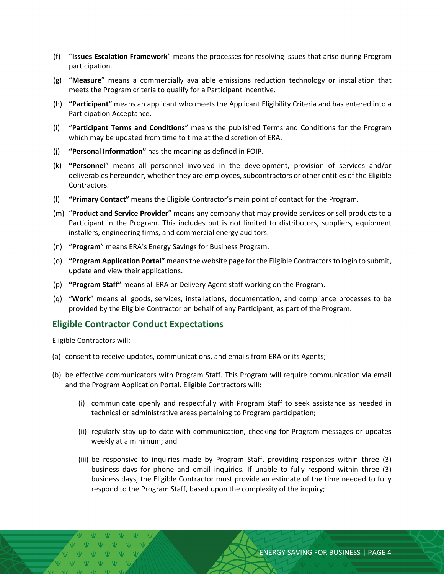- (f) "**Issues Escalation Framework**" means the processes for resolving issues that arise during Program participation.
- (g) "**Measure**" means a commercially available emissions reduction technology or installation that meets the Program criteria to qualify for a Participant incentive.
- (h) **"Participant"** means an applicant who meets the Applicant Eligibility Criteria and has entered into a Participation Acceptance.
- (i) "**Participant Terms and Conditions**" means the published Terms and Conditions for the Program which may be updated from time to time at the discretion of ERA.
- (j) **"Personal Information"** has the meaning as defined in FOIP.
- (k) **"Personnel**" means all personnel involved in the development, provision of services and/or deliverables hereunder, whether they are employees, subcontractors or other entities of the Eligible Contractors.
- (l) **"Primary Contact"** means the Eligible Contractor's main point of contact for the Program.
- (m) "**Product and Service Provider**" means any company that may provide services or sell products to a Participant in the Program. This includes but is not limited to distributors, suppliers, equipment installers, engineering firms, and commercial energy auditors.
- (n) "**Program**" means ERA's Energy Savings for Business Program.
- (o) **"Program Application Portal"** means the website page for the Eligible Contractors to login to submit, update and view their applications.
- (p) **"Program Staff"** means all ERA or Delivery Agent staff working on the Program.
- (q) "**Work**" means all goods, services, installations, documentation, and compliance processes to be provided by the Eligible Contractor on behalf of any Participant, as part of the Program.

#### <span id="page-3-0"></span>**Eligible Contractor Conduct Expectations**

Eligible Contractors will:

- (a) consent to receive updates, communications, and emails from ERA or its Agents;
- (b) be effective communicators with Program Staff. This Program will require communication via email and the Program Application Portal. Eligible Contractors will:
	- (i) communicate openly and respectfully with Program Staff to seek assistance as needed in technical or administrative areas pertaining to Program participation;
	- (ii) regularly stay up to date with communication, checking for Program messages or updates weekly at a minimum; and
	- (iii) be responsive to inquiries made by Program Staff, providing responses within three (3) business days for phone and email inquiries. If unable to fully respond within three (3) business days, the Eligible Contractor must provide an estimate of the time needed to fully respond to the Program Staff, based upon the complexity of the inquiry;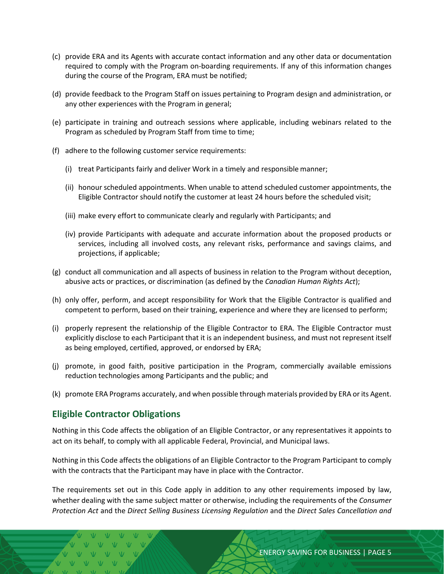- (c) provide ERA and its Agents with accurate contact information and any other data or documentation required to comply with the Program on-boarding requirements. If any of this information changes during the course of the Program, ERA must be notified;
- (d) provide feedback to the Program Staff on issues pertaining to Program design and administration, or any other experiences with the Program in general;
- (e) participate in training and outreach sessions where applicable, including webinars related to the Program as scheduled by Program Staff from time to time;
- (f) adhere to the following customer service requirements:
	- (i) treat Participants fairly and deliver Work in a timely and responsible manner;
	- (ii) honour scheduled appointments. When unable to attend scheduled customer appointments, the Eligible Contractor should notify the customer at least 24 hours before the scheduled visit;
	- (iii) make every effort to communicate clearly and regularly with Participants; and
	- (iv) provide Participants with adequate and accurate information about the proposed products or services, including all involved costs, any relevant risks, performance and savings claims, and projections, if applicable;
- (g) conduct all communication and all aspects of business in relation to the Program without deception, abusive acts or practices, or discrimination (as defined by the *Canadian Human Rights Act*);
- (h) only offer, perform, and accept responsibility for Work that the Eligible Contractor is qualified and competent to perform, based on their training, experience and where they are licensed to perform;
- (i) properly represent the relationship of the Eligible Contractor to ERA. The Eligible Contractor must explicitly disclose to each Participant that it is an independent business, and must not represent itself as being employed, certified, approved, or endorsed by ERA;
- (j) promote, in good faith, positive participation in the Program, commercially available emissions reduction technologies among Participants and the public; and
- (k) promote ERA Programs accurately, and when possible through materials provided by ERA or its Agent.

#### <span id="page-4-0"></span>**Eligible Contractor Obligations**

Nothing in this Code affects the obligation of an Eligible Contractor, or any representatives it appoints to act on its behalf, to comply with all applicable Federal, Provincial, and Municipal laws.

Nothing in this Code affects the obligations of an Eligible Contractor to the Program Participant to comply with the contracts that the Participant may have in place with the Contractor.

The requirements set out in this Code apply in addition to any other requirements imposed by law, whether dealing with the same subject matter or otherwise, including the requirements of the *Consumer Protection Act* and the *Direct Selling Business Licensing Regulation* and the *Direct Sales Cancellation and*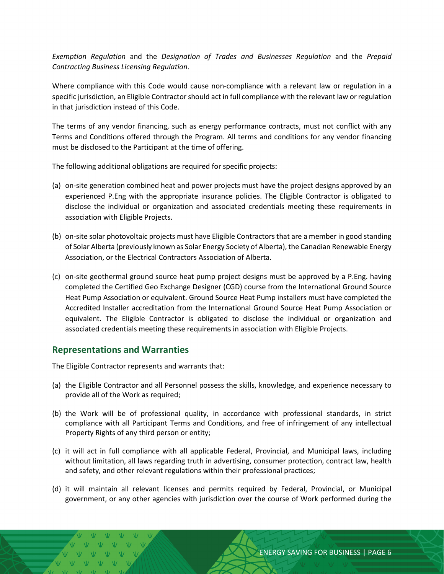*Exemption Regulation* and the *Designation of Trades and Businesses Regulation* and the *Prepaid Contracting Business Licensing Regulation*.

Where compliance with this Code would cause non-compliance with a relevant law or regulation in a specific jurisdiction, an Eligible Contractor should act in full compliance with the relevant law or regulation in that jurisdiction instead of this Code.

The terms of any vendor financing, such as energy performance contracts, must not conflict with any Terms and Conditions offered through the Program. All terms and conditions for any vendor financing must be disclosed to the Participant at the time of offering.

The following additional obligations are required for specific projects:

- (a) on-site generation combined heat and power projects must have the project designs approved by an experienced P.Eng with the appropriate insurance policies. The Eligible Contractor is obligated to disclose the individual or organization and associated credentials meeting these requirements in association with Eligible Projects.
- (b) on-site solar photovoltaic projects must have Eligible Contractors that are a member in good standing of Solar Alberta (previously known as Solar Energy Society of Alberta), the Canadian Renewable Energy Association, or the Electrical Contractors Association of Alberta.
- (c) on-site geothermal ground source heat pump project designs must be approved by a P.Eng. having completed the Certified Geo Exchange Designer (CGD) course from the International Ground Source Heat Pump Association or equivalent. Ground Source Heat Pump installers must have completed the Accredited Installer accreditation from the International Ground Source Heat Pump Association or equivalent. The Eligible Contractor is obligated to disclose the individual or organization and associated credentials meeting these requirements in association with Eligible Projects.

#### <span id="page-5-0"></span>**Representations and Warranties**

The Eligible Contractor represents and warrants that:

- (a) the Eligible Contractor and all Personnel possess the skills, knowledge, and experience necessary to provide all of the Work as required;
- (b) the Work will be of professional quality, in accordance with professional standards, in strict compliance with all Participant Terms and Conditions, and free of infringement of any intellectual Property Rights of any third person or entity;
- (c) it will act in full compliance with all applicable Federal, Provincial, and Municipal laws, including without limitation, all laws regarding truth in advertising, consumer protection, contract law, health and safety, and other relevant regulations within their professional practices;
- (d) it will maintain all relevant licenses and permits required by Federal, Provincial, or Municipal government, or any other agencies with jurisdiction over the course of Work performed during the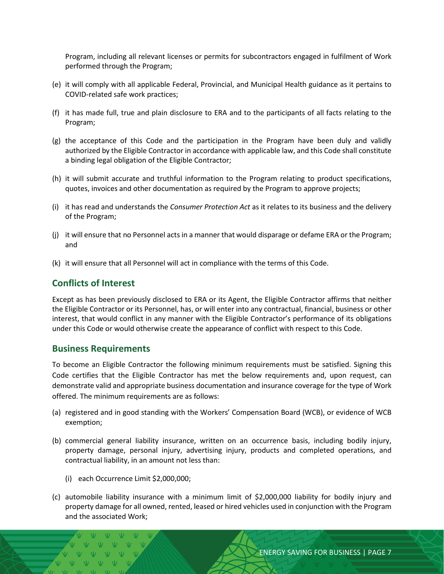Program, including all relevant licenses or permits for subcontractors engaged in fulfilment of Work performed through the Program;

- (e) it will comply with all applicable Federal, Provincial, and Municipal Health guidance as it pertains to COVID-related safe work practices;
- (f) it has made full, true and plain disclosure to ERA and to the participants of all facts relating to the Program;
- (g) the acceptance of this Code and the participation in the Program have been duly and validly authorized by the Eligible Contractor in accordance with applicable law, and this Code shall constitute a binding legal obligation of the Eligible Contractor;
- (h) it will submit accurate and truthful information to the Program relating to product specifications, quotes, invoices and other documentation as required by the Program to approve projects;
- (i) it has read and understands the *Consumer Protection Act* as it relates to its business and the delivery of the Program;
- (j) it will ensure that no Personnel acts in a manner that would disparage or defame ERA or the Program; and
- (k) it will ensure that all Personnel will act in compliance with the terms of this Code.

#### <span id="page-6-0"></span>**Conflicts of Interest**

Except as has been previously disclosed to ERA or its Agent, the Eligible Contractor affirms that neither the Eligible Contractor or its Personnel, has, or will enter into any contractual, financial, business or other interest, that would conflict in any manner with the Eligible Contractor's performance of its obligations under this Code or would otherwise create the appearance of conflict with respect to this Code.

#### <span id="page-6-1"></span>**Business Requirements**

To become an Eligible Contractor the following minimum requirements must be satisfied. Signing this Code certifies that the Eligible Contractor has met the below requirements and, upon request, can demonstrate valid and appropriate business documentation and insurance coverage for the type of Work offered. The minimum requirements are as follows:

- (a) registered and in good standing with the Workers' Compensation Board (WCB), or evidence of WCB exemption;
- (b) commercial general liability insurance, written on an occurrence basis, including bodily injury, property damage, personal injury, advertising injury, products and completed operations, and contractual liability, in an amount not less than:
	- (i) each Occurrence Limit \$2,000,000;
- (c) automobile liability insurance with a minimum limit of \$2,000,000 liability for bodily injury and property damage for all owned, rented, leased or hired vehicles used in conjunction with the Program and the associated Work;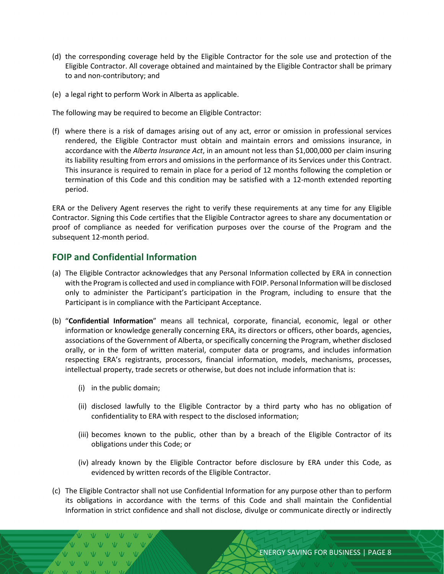- (d) the corresponding coverage held by the Eligible Contractor for the sole use and protection of the Eligible Contractor. All coverage obtained and maintained by the Eligible Contractor shall be primary to and non-contributory; and
- (e) a legal right to perform Work in Alberta as applicable.

The following may be required to become an Eligible Contractor:

(f) where there is a risk of damages arising out of any act, error or omission in professional services rendered, the Eligible Contractor must obtain and maintain errors and omissions insurance, in accordance with the *Alberta Insurance Act*, in an amount not less than \$1,000,000 per claim insuring its liability resulting from errors and omissions in the performance of its Services under this Contract. This insurance is required to remain in place for a period of 12 months following the completion or termination of this Code and this condition may be satisfied with a 12-month extended reporting period.

ERA or the Delivery Agent reserves the right to verify these requirements at any time for any Eligible Contractor. Signing this Code certifies that the Eligible Contractor agrees to share any documentation or proof of compliance as needed for verification purposes over the course of the Program and the subsequent 12-month period.

#### <span id="page-7-0"></span>**FOIP and Confidential Information**

- (a) The Eligible Contractor acknowledges that any Personal Information collected by ERA in connection with the Program is collected and used in compliance with FOIP. Personal Information will be disclosed only to administer the Participant's participation in the Program, including to ensure that the Participant is in compliance with the Participant Acceptance.
- (b) "**Confidential Information**" means all technical, corporate, financial, economic, legal or other information or knowledge generally concerning ERA, its directors or officers, other boards, agencies, associations of the Government of Alberta, or specifically concerning the Program, whether disclosed orally, or in the form of written material, computer data or programs, and includes information respecting ERA's registrants, processors, financial information, models, mechanisms, processes, intellectual property, trade secrets or otherwise, but does not include information that is:
	- (i) in the public domain;
	- (ii) disclosed lawfully to the Eligible Contractor by a third party who has no obligation of confidentiality to ERA with respect to the disclosed information;
	- (iii) becomes known to the public, other than by a breach of the Eligible Contractor of its obligations under this Code; or
	- (iv) already known by the Eligible Contractor before disclosure by ERA under this Code, as evidenced by written records of the Eligible Contractor.
- (c) The Eligible Contractor shall not use Confidential Information for any purpose other than to perform its obligations in accordance with the terms of this Code and shall maintain the Confidential Information in strict confidence and shall not disclose, divulge or communicate directly or indirectly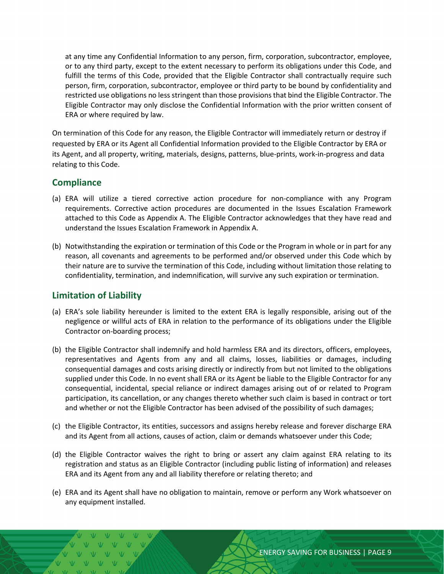at any time any Confidential Information to any person, firm, corporation, subcontractor, employee, or to any third party, except to the extent necessary to perform its obligations under this Code, and fulfill the terms of this Code, provided that the Eligible Contractor shall contractually require such person, firm, corporation, subcontractor, employee or third party to be bound by confidentiality and restricted use obligations no less stringent than those provisions that bind the Eligible Contractor. The Eligible Contractor may only disclose the Confidential Information with the prior written consent of ERA or where required by law.

On termination of this Code for any reason, the Eligible Contractor will immediately return or destroy if requested by ERA or its Agent all Confidential Information provided to the Eligible Contractor by ERA or its Agent, and all property, writing, materials, designs, patterns, blue-prints, work-in-progress and data relating to this Code.

#### <span id="page-8-0"></span>**Compliance**

- (a) ERA will utilize a tiered corrective action procedure for non-compliance with any Program requirements. Corrective action procedures are documented in the Issues Escalation Framework attached to this Code as Appendix A. The Eligible Contractor acknowledges that they have read and understand the Issues Escalation Framework in Appendix A.
- (b) Notwithstanding the expiration or termination of this Code or the Program in whole or in part for any reason, all covenants and agreements to be performed and/or observed under this Code which by their nature are to survive the termination of this Code, including without limitation those relating to confidentiality, termination, and indemnification, will survive any such expiration or termination.

#### <span id="page-8-1"></span>**Limitation of Liability**

- (a) ERA's sole liability hereunder is limited to the extent ERA is legally responsible, arising out of the negligence or willful acts of ERA in relation to the performance of its obligations under the Eligible Contractor on-boarding process;
- (b) the Eligible Contractor shall indemnify and hold harmless ERA and its directors, officers, employees, representatives and Agents from any and all claims, losses, liabilities or damages, including consequential damages and costs arising directly or indirectly from but not limited to the obligations supplied under this Code. In no event shall ERA or its Agent be liable to the Eligible Contractor for any consequential, incidental, special reliance or indirect damages arising out of or related to Program participation, its cancellation, or any changes thereto whether such claim is based in contract or tort and whether or not the Eligible Contractor has been advised of the possibility of such damages;
- (c) the Eligible Contractor, its entities, successors and assigns hereby release and forever discharge ERA and its Agent from all actions, causes of action, claim or demands whatsoever under this Code;
- (d) the Eligible Contractor waives the right to bring or assert any claim against ERA relating to its registration and status as an Eligible Contractor (including public listing of information) and releases ERA and its Agent from any and all liability therefore or relating thereto; and
- (e) ERA and its Agent shall have no obligation to maintain, remove or perform any Work whatsoever on any equipment installed.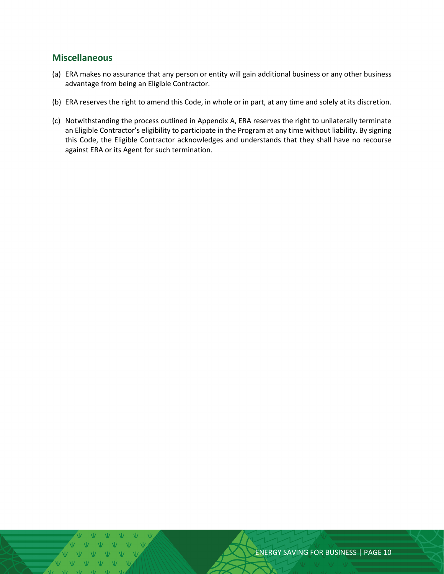#### <span id="page-9-0"></span>**Miscellaneous**

- (a) ERA makes no assurance that any person or entity will gain additional business or any other business advantage from being an Eligible Contractor.
- (b) ERA reserves the right to amend this Code, in whole or in part, at any time and solely at its discretion.
- (c) Notwithstanding the process outlined in Appendix A, ERA reserves the right to unilaterally terminate an Eligible Contractor's eligibility to participate in the Program at any time without liability. By signing this Code, the Eligible Contractor acknowledges and understands that they shall have no recourse against ERA or its Agent for such termination.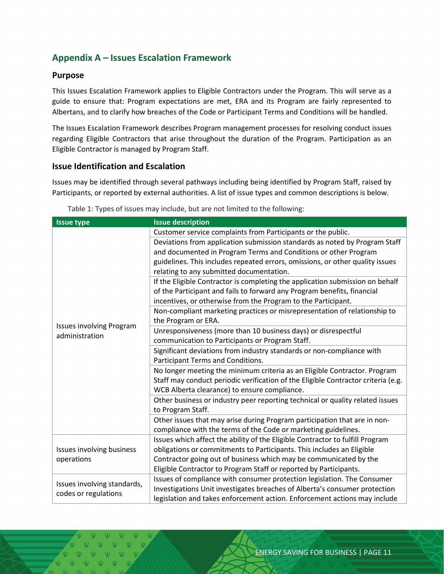#### <span id="page-10-0"></span>**Appendix A – Issues Escalation Framework**

#### <span id="page-10-1"></span>**Purpose**

This Issues Escalation Framework applies to Eligible Contractors under the Program. This will serve as a guide to ensure that: Program expectations are met, ERA and its Program are fairly represented to Albertans, and to clarify how breaches of the Code or Participant Terms and Conditions will be handled.

The Issues Escalation Framework describes Program management processes for resolving conduct issues regarding Eligible Contractors that arise throughout the duration of the Program. Participation as an Eligible Contractor is managed by Program Staff.

#### <span id="page-10-2"></span>**Issue Identification and Escalation**

Issues may be identified through several pathways including being identified by Program Staff, raised by Participants, or reported by external authorities. A list of issue types and common descriptions is below.

| <b>Issue type</b>                                   | <b>Issue description</b>                                                          |
|-----------------------------------------------------|-----------------------------------------------------------------------------------|
| <b>Issues involving Program</b><br>administration   | Customer service complaints from Participants or the public.                      |
|                                                     | Deviations from application submission standards as noted by Program Staff        |
|                                                     | and documented in Program Terms and Conditions or other Program                   |
|                                                     | guidelines. This includes repeated errors, omissions, or other quality issues     |
|                                                     | relating to any submitted documentation.                                          |
|                                                     | If the Eligible Contractor is completing the application submission on behalf     |
|                                                     | of the Participant and fails to forward any Program benefits, financial           |
|                                                     | incentives, or otherwise from the Program to the Participant.                     |
|                                                     | Non-compliant marketing practices or misrepresentation of relationship to         |
|                                                     | the Program or ERA.                                                               |
|                                                     | Unresponsiveness (more than 10 business days) or disrespectful                    |
|                                                     | communication to Participants or Program Staff.                                   |
|                                                     | Significant deviations from industry standards or non-compliance with             |
|                                                     | Participant Terms and Conditions.                                                 |
|                                                     | No longer meeting the minimum criteria as an Eligible Contractor. Program         |
|                                                     | Staff may conduct periodic verification of the Eligible Contractor criteria (e.g. |
|                                                     | WCB Alberta clearance) to ensure compliance.                                      |
|                                                     | Other business or industry peer reporting technical or quality related issues     |
|                                                     | to Program Staff.                                                                 |
|                                                     | Other issues that may arise during Program participation that are in non-         |
|                                                     | compliance with the terms of the Code or marketing guidelines.                    |
| <b>Issues involving business</b><br>operations      | Issues which affect the ability of the Eligible Contractor to fulfill Program     |
|                                                     | obligations or commitments to Participants. This includes an Eligible             |
|                                                     | Contractor going out of business which may be communicated by the                 |
|                                                     | Eligible Contractor to Program Staff or reported by Participants.                 |
| Issues involving standards,<br>codes or regulations | Issues of compliance with consumer protection legislation. The Consumer           |
|                                                     | Investigations Unit investigates breaches of Alberta's consumer protection        |
|                                                     | legislation and takes enforcement action. Enforcement actions may include         |

Table 1: Types of issues may include, but are not limited to the following: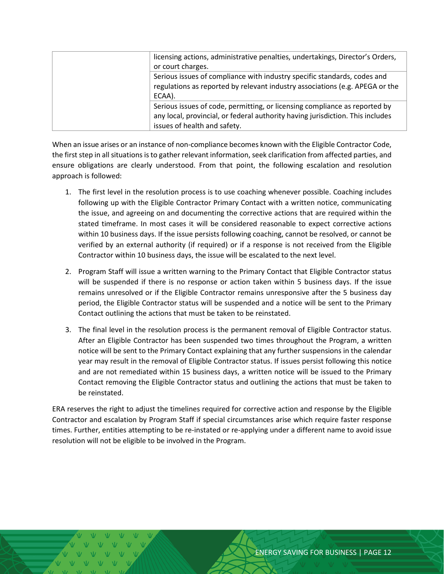| licensing actions, administrative penalties, undertakings, Director's Orders,<br>or court charges.                                                                                           |
|----------------------------------------------------------------------------------------------------------------------------------------------------------------------------------------------|
| Serious issues of compliance with industry specific standards, codes and<br>regulations as reported by relevant industry associations (e.g. APEGA or the<br>ECAA).                           |
| Serious issues of code, permitting, or licensing compliance as reported by<br>any local, provincial, or federal authority having jurisdiction. This includes<br>issues of health and safety. |

When an issue arises or an instance of non-compliance becomes known with the Eligible Contractor Code, the first step in all situations is to gather relevant information, seek clarification from affected parties, and ensure obligations are clearly understood. From that point, the following escalation and resolution approach is followed:

- 1. The first level in the resolution process is to use coaching whenever possible. Coaching includes following up with the Eligible Contractor Primary Contact with a written notice, communicating the issue, and agreeing on and documenting the corrective actions that are required within the stated timeframe. In most cases it will be considered reasonable to expect corrective actions within 10 business days. If the issue persists following coaching, cannot be resolved, or cannot be verified by an external authority (if required) or if a response is not received from the Eligible Contractor within 10 business days, the issue will be escalated to the next level.
- 2. Program Staff will issue a written warning to the Primary Contact that Eligible Contractor status will be suspended if there is no response or action taken within 5 business days. If the issue remains unresolved or if the Eligible Contractor remains unresponsive after the 5 business day period, the Eligible Contractor status will be suspended and a notice will be sent to the Primary Contact outlining the actions that must be taken to be reinstated.
- 3. The final level in the resolution process is the permanent removal of Eligible Contractor status. After an Eligible Contractor has been suspended two times throughout the Program, a written notice will be sent to the Primary Contact explaining that any further suspensions in the calendar year may result in the removal of Eligible Contractor status. If issues persist following this notice and are not remediated within 15 business days, a written notice will be issued to the Primary Contact removing the Eligible Contractor status and outlining the actions that must be taken to be reinstated.

ERA reserves the right to adjust the timelines required for corrective action and response by the Eligible Contractor and escalation by Program Staff if special circumstances arise which require faster response times. Further, entities attempting to be re-instated or re-applying under a different name to avoid issue resolution will not be eligible to be involved in the Program.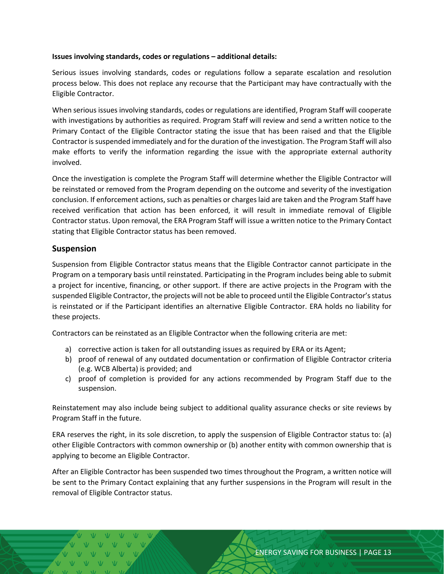#### **Issues involving standards, codes or regulations – additional details:**

Serious issues involving standards, codes or regulations follow a separate escalation and resolution process below. This does not replace any recourse that the Participant may have contractually with the Eligible Contractor.

When serious issues involving standards, codes or regulations are identified, Program Staff will cooperate with investigations by authorities as required. Program Staff will review and send a written notice to the Primary Contact of the Eligible Contractor stating the issue that has been raised and that the Eligible Contractor is suspended immediately and for the duration of the investigation. The Program Staff will also make efforts to verify the information regarding the issue with the appropriate external authority involved.

Once the investigation is complete the Program Staff will determine whether the Eligible Contractor will be reinstated or removed from the Program depending on the outcome and severity of the investigation conclusion. If enforcement actions, such as penalties or charges laid are taken and the Program Staff have received verification that action has been enforced, it will result in immediate removal of Eligible Contractor status. Upon removal, the ERA Program Staff will issue a written notice to the Primary Contact stating that Eligible Contractor status has been removed.

#### <span id="page-12-0"></span>**Suspension**

Suspension from Eligible Contractor status means that the Eligible Contractor cannot participate in the Program on a temporary basis until reinstated. Participating in the Program includes being able to submit a project for incentive, financing, or other support. If there are active projects in the Program with the suspended Eligible Contractor, the projects will not be able to proceed until the Eligible Contractor's status is reinstated or if the Participant identifies an alternative Eligible Contractor. ERA holds no liability for these projects.

Contractors can be reinstated as an Eligible Contractor when the following criteria are met:

- a) corrective action is taken for all outstanding issues as required by ERA or its Agent;
- b) proof of renewal of any outdated documentation or confirmation of Eligible Contractor criteria (e.g. WCB Alberta) is provided; and
- c) proof of completion is provided for any actions recommended by Program Staff due to the suspension.

Reinstatement may also include being subject to additional quality assurance checks or site reviews by Program Staff in the future.

ERA reserves the right, in its sole discretion, to apply the suspension of Eligible Contractor status to: (a) other Eligible Contractors with common ownership or (b) another entity with common ownership that is applying to become an Eligible Contractor.

After an Eligible Contractor has been suspended two times throughout the Program, a written notice will be sent to the Primary Contact explaining that any further suspensions in the Program will result in the removal of Eligible Contractor status.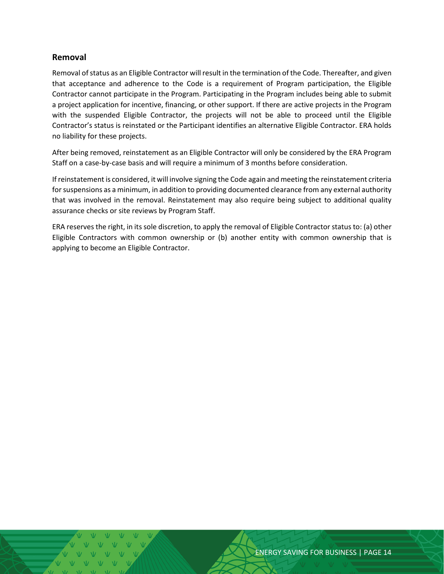#### <span id="page-13-0"></span>**Removal**

Removal of status as an Eligible Contractor will result in the termination of the Code. Thereafter, and given that acceptance and adherence to the Code is a requirement of Program participation, the Eligible Contractor cannot participate in the Program. Participating in the Program includes being able to submit a project application for incentive, financing, or other support. If there are active projects in the Program with the suspended Eligible Contractor, the projects will not be able to proceed until the Eligible Contractor's status is reinstated or the Participant identifies an alternative Eligible Contractor. ERA holds no liability for these projects.

After being removed, reinstatement as an Eligible Contractor will only be considered by the ERA Program Staff on a case-by-case basis and will require a minimum of 3 months before consideration.

If reinstatement is considered, it will involve signing the Code again and meeting the reinstatement criteria for suspensions as a minimum, in addition to providing documented clearance from any external authority that was involved in the removal. Reinstatement may also require being subject to additional quality assurance checks or site reviews by Program Staff.

ERA reserves the right, in its sole discretion, to apply the removal of Eligible Contractor status to: (a) other Eligible Contractors with common ownership or (b) another entity with common ownership that is applying to become an Eligible Contractor.